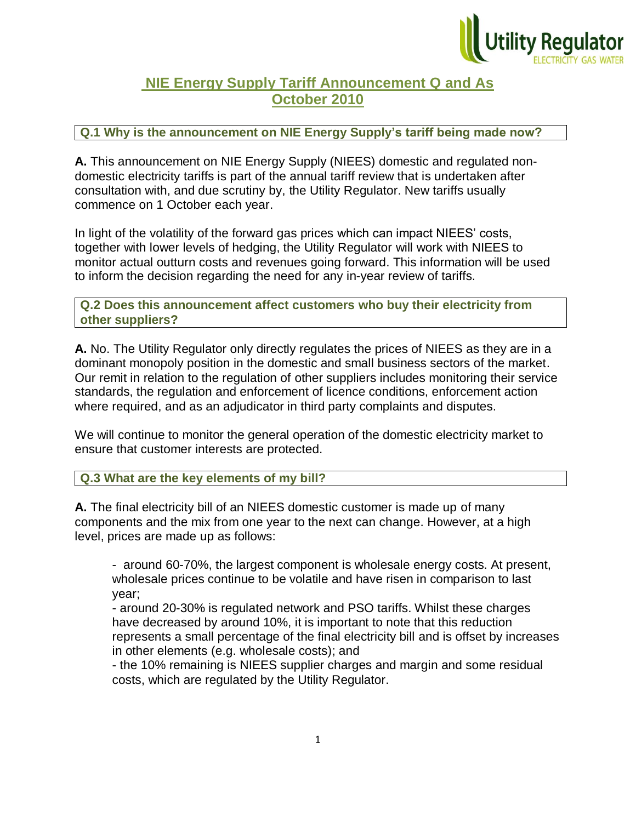

## **NIE Energy Supply Tariff Announcement Q and As October 2010**

## **Q.1 Why is the announcement on NIE Energy Supply's tariff being made now?**

**A.** This announcement on NIE Energy Supply (NIEES) domestic and regulated nondomestic electricity tariffs is part of the annual tariff review that is undertaken after consultation with, and due scrutiny by, the Utility Regulator. New tariffs usually commence on 1 October each year.

In light of the volatility of the forward gas prices which can impact NIEES' costs, together with lower levels of hedging, the Utility Regulator will work with NIEES to monitor actual outturn costs and revenues going forward. This information will be used to inform the decision regarding the need for any in-year review of tariffs.

**Q.2 Does this announcement affect customers who buy their electricity from other suppliers?** 

**A.** No. The Utility Regulator only directly regulates the prices of NIEES as they are in a dominant monopoly position in the domestic and small business sectors of the market. Our remit in relation to the regulation of other suppliers includes monitoring their service standards, the regulation and enforcement of licence conditions, enforcement action where required, and as an adjudicator in third party complaints and disputes.

We will continue to monitor the general operation of the domestic electricity market to ensure that customer interests are protected.

**Q.3 What are the key elements of my bill?**

**A.** The final electricity bill of an NIEES domestic customer is made up of many components and the mix from one year to the next can change. However, at a high level, prices are made up as follows:

- around 60-70%, the largest component is wholesale energy costs. At present, wholesale prices continue to be volatile and have risen in comparison to last year;

- around 20-30% is regulated network and PSO tariffs. Whilst these charges have decreased by around 10%, it is important to note that this reduction represents a small percentage of the final electricity bill and is offset by increases in other elements (e.g. wholesale costs); and

- the 10% remaining is NIEES supplier charges and margin and some residual costs, which are regulated by the Utility Regulator.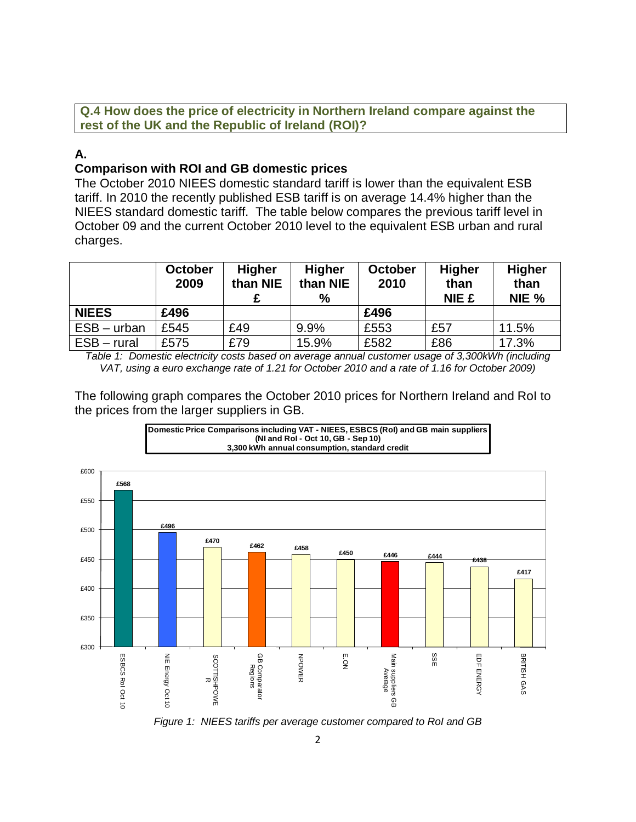**Q.4 How does the price of electricity in Northern Ireland compare against the rest of the UK and the Republic of Ireland (ROI)?**

## **A.**

## **Comparison with ROI and GB domestic prices**

The October 2010 NIEES domestic standard tariff is lower than the equivalent ESB tariff. In 2010 the recently published ESB tariff is on average 14.4% higher than the NIEES standard domestic tariff. The table below compares the previous tariff level in October 09 and the current October 2010 level to the equivalent ESB urban and rural charges.

|               | <b>October</b><br>2009 | <b>Higher</b><br>than NIE | <b>Higher</b><br>than NIE<br>$\%$ | <b>October</b><br>2010 | <b>Higher</b><br>than<br><b>NIE £</b> | <b>Higher</b><br>than<br>NIE % |
|---------------|------------------------|---------------------------|-----------------------------------|------------------------|---------------------------------------|--------------------------------|
| <b>NIEES</b>  | £496                   |                           |                                   | £496                   |                                       |                                |
| ESB – urban   | £545                   | £49                       | 9.9%                              | £553                   | £57                                   | 11.5%                          |
| $ESB - rural$ | £575                   | £79                       | 15.9%                             | £582                   | £86                                   | 17.3%                          |

*Table 1: Domestic electricity costs based on average annual customer usage of 3,300kWh (including VAT, using a euro exchange rate of 1.21 for October 2010 and a rate of 1.16 for October 2009)*

The following graph compares the October 2010 prices for Northern Ireland and RoI to the prices from the larger suppliers in GB.



*Figure 1: NIEES tariffs per average customer compared to RoI and GB*